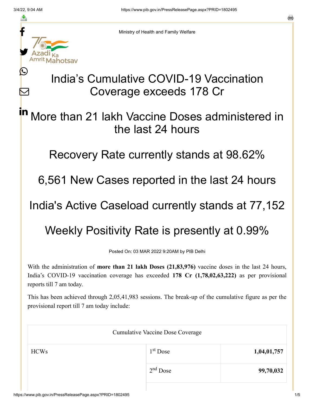≛

Ŀ

 $\bm{\nabla}$ 

Ministry of Health and Family Welfare

## India's Cumulative COVID-19 Vaccination Coverage exceeds 178 Cr

## More than 21 lakh Vaccine Doses administered in the last 24 hours in

Recovery Rate currently stands at 98.62%

6,561 New Cases reported in the last 24 hours

India's Active Caseload currently stands at 77,152

## Weekly Positivity Rate is presently at 0.99%

Posted On: 03 MAR 2022 9:20AM by PIB Delhi

With the administration of **more than 21 lakh Doses (21,83,976)** vaccine doses in the last 24 hours, India's COVID-19 vaccination coverage has exceeded **178 Cr (1,78,02,63,222)** as per provisional reports till 7 am today.

This has been achieved through 2,05,41,983 sessions. The break-up of the cumulative figure as per the provisional report till 7 am today include:

| <b>Cumulative Vaccine Dose Coverage</b> |             |  |
|-----------------------------------------|-------------|--|
| $1st$ Dose                              | 1,04,01,757 |  |
| $2nd$ Dose                              | 99,70,032   |  |
|                                         |             |  |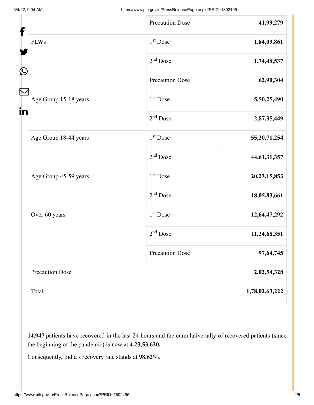| f                                | <b>Precaution Dose</b> | 41,99,279       |
|----------------------------------|------------------------|-----------------|
| <b>FLWs</b><br>$\mathbf{\Omega}$ | 1 <sup>st</sup> Dose   | 1,84,09,861     |
|                                  | $2nd$ Dose             | 1,74,48,537     |
|                                  | <b>Precaution Dose</b> | 62,90,304       |
| Age Group 15-18 years<br>in      | $1st$ Dose             | 5,50,25,490     |
|                                  | $2nd$ Dose             | 2,87,35,449     |
| Age Group 18-44 years            | 1 <sup>st</sup> Dose   | 55, 20, 71, 254 |
|                                  | $2nd$ Dose             | 44, 61, 31, 357 |
| Age Group 45-59 years            | 1 <sup>st</sup> Dose   | 20, 23, 15, 853 |
|                                  | $2nd$ Dose             | 18,05,83,661    |
| Over 60 years                    | 1 <sup>st</sup> Dose   | 12,64,47,292    |
|                                  | $2nd$ Dose             | 11,24,68,351    |
|                                  | <b>Precaution Dose</b> | 97,64,745       |
| <b>Precaution Dose</b>           |                        | 2,02,54,328     |
| Total                            |                        | 1,78,02,63,222  |

**14,947** patients have recovered in the last 24 hours and the cumulative tally of recovered patients (since the beginning of the pandemic) is now at **4,23,53,620.**

Consequently, India's recovery rate stands at **98.62%.**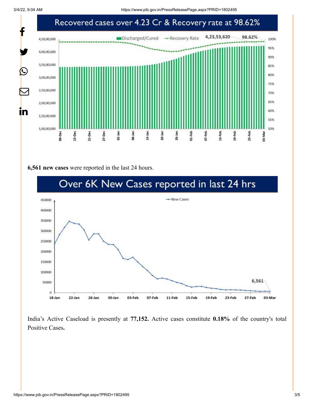3/4/22, 9:04 AM https://www.pib.gov.in/PressReleasePage.aspx?PRID=1802495



## **6,561 new cases** were reported in the last 24 hours.



India's Active Caseload is presently at **77,152.** Active cases constitute **0.18%** of the country's total Positive Cases**.**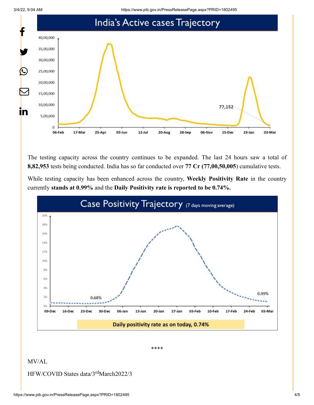3/4/22, 9:04 AM https://www.pib.gov.in/PressReleasePage.aspx?PRID=1802495



The testing capacity across the country continues to be expanded. The last 24 hours saw a total of **8,82,953** tests being conducted. India has so far conducted over **77 Cr (77,00,50,005**) cumulative tests.

While testing capacity has been enhanced across the country, **Weekly Positivity Rate** in the country currently **stands at 0.99%** and the **Daily Positivity rate is reported to be 0.74%.**



\*\*\*\*

MV/AL

HFW/COVID States data/3<sup>rd</sup>March2022/3